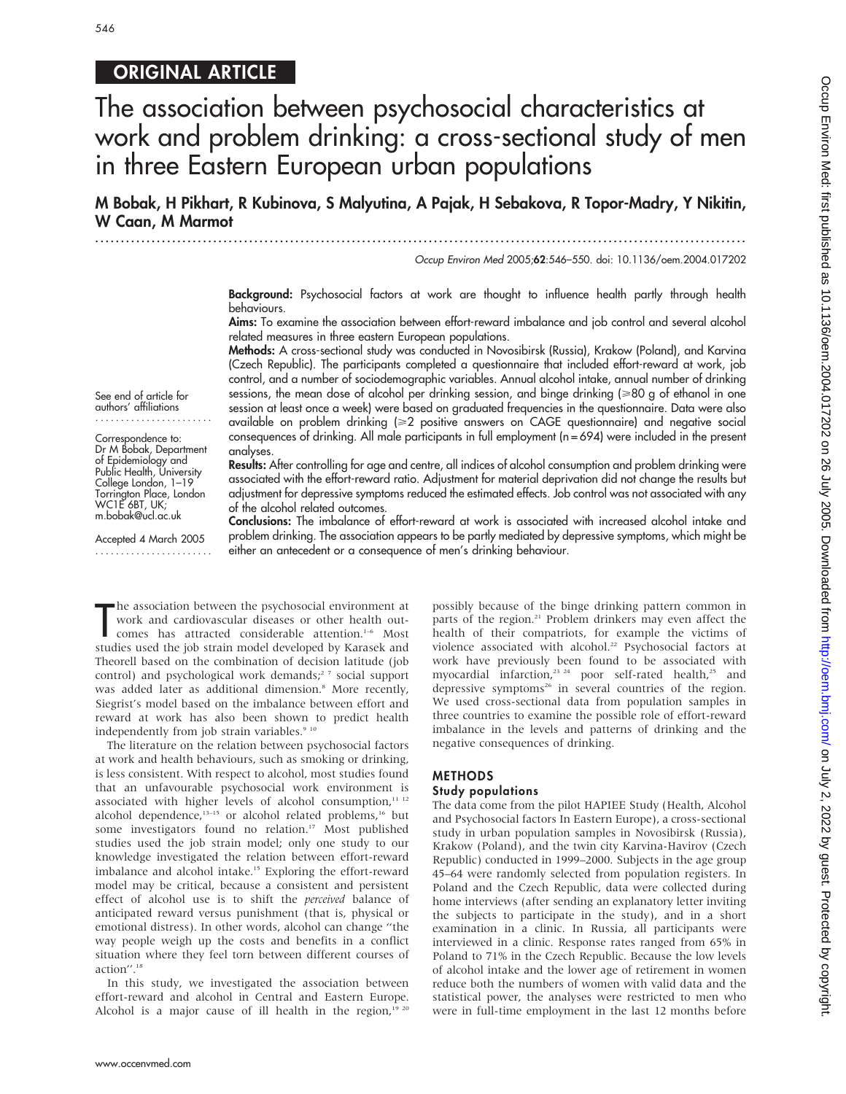# ORIGINAL ARTICLE

The association between psychosocial characteristics at work and problem drinking: a cross-sectional study of men in three Eastern European urban populations

M Bobak, H Pikhart, R Kubinova, S Malyutina, A Pajak, H Sebakova, R Topor-Madry, Y Nikitin, W Caan, M Marmot

...............................................................................................................................

Occup Environ Med 2005;62:546–550. doi: 10.1136/oem.2004.017202

Background: Psychosocial factors at work are thought to influence health partly through health behaviours.

Aims: To examine the association between effort-reward imbalance and job control and several alcohol related measures in three eastern European populations.

Methods: A cross-sectional study was conducted in Novosibirsk (Russia), Krakow (Poland), and Karvina (Czech Republic). The participants completed a questionnaire that included effort-reward at work, job control, and a number of sociodemographic variables. Annual alcohol intake, annual number of drinking sessions, the mean dose of alcohol per drinking session, and binge drinking ( $\geq 80$  g of ethanol in one session at least once a week) were based on graduated frequencies in the questionnaire. Data were also available on problem drinking  $\geqslant$  positive answers on CAGE questionnaire) and negative social consequences of drinking. All male participants in full employment (n = 694) were included in the present analyses.

Results: After controlling for age and centre, all indices of alcohol consumption and problem drinking were associated with the effort-reward ratio. Adjustment for material deprivation did not change the results but adjustment for depressive symptoms reduced the estimated effects. Job control was not associated with any of the alcohol related outcomes.

Conclusions: The imbalance of effort-reward at work is associated with increased alcohol intake and problem drinking. The association appears to be partly mediated by depressive symptoms, which might be either an antecedent or a consequence of men's drinking behaviour.

See end of article for authors' affiliations .......................

Correspondence to: Dr M Bobak, Department of Epidemiology and Public Health, University College London, 1–19 Torrington Place, London WC1E 6BT, UK; m.bobak@ucl.ac.uk

Accepted 4 March 2005 .......................

The association between the psychosocial environment at<br>
work and cardiovascular diseases or other health out-<br>
comes has attracted considerable attention.<sup>1-6</sup> Most<br>
studies used the job strain model developed by Karasek he association between the psychosocial environment at work and cardiovascular diseases or other health outcomes has attracted considerable attention.<sup>1-6</sup> Most Theorell based on the combination of decision latitude (job control) and psychological work demands;<sup>2</sup> <sup>7</sup> social support was added later as additional dimension.<sup>8</sup> More recently, Siegrist's model based on the imbalance between effort and reward at work has also been shown to predict health independently from job strain variables.<sup>9 10</sup>

The literature on the relation between psychosocial factors at work and health behaviours, such as smoking or drinking, is less consistent. With respect to alcohol, most studies found that an unfavourable psychosocial work environment is associated with higher levels of alcohol consumption,<sup>11 12</sup> alcohol dependence, $13-15$  or alcohol related problems, $16$  but some investigators found no relation.<sup>17</sup> Most published studies used the job strain model; only one study to our knowledge investigated the relation between effort-reward imbalance and alcohol intake.<sup>15</sup> Exploring the effort-reward model may be critical, because a consistent and persistent effect of alcohol use is to shift the perceived balance of anticipated reward versus punishment (that is, physical or emotional distress). In other words, alcohol can change ''the way people weigh up the costs and benefits in a conflict situation where they feel torn between different courses of action''.18

In this study, we investigated the association between effort-reward and alcohol in Central and Eastern Europe. Alcohol is a major cause of ill health in the region,<sup>19 20</sup>

possibly because of the binge drinking pattern common in parts of the region.<sup>21</sup> Problem drinkers may even affect the health of their compatriots, for example the victims of violence associated with alcohol.<sup>22</sup> Psychosocial factors at work have previously been found to be associated with myocardial infarction,<sup>23 24</sup> poor self-rated health,<sup>25</sup> and depressive symptoms<sup>26</sup> in several countries of the region. We used cross-sectional data from population samples in three countries to examine the possible role of effort-reward imbalance in the levels and patterns of drinking and the negative consequences of drinking.

## METHODS

#### Study populations

The data come from the pilot HAPIEE Study (Health, Alcohol and Psychosocial factors In Eastern Europe), a cross-sectional study in urban population samples in Novosibirsk (Russia), Krakow (Poland), and the twin city Karvina-Havirov (Czech Republic) conducted in 1999–2000. Subjects in the age group 45–64 were randomly selected from population registers. In Poland and the Czech Republic, data were collected during home interviews (after sending an explanatory letter inviting the subjects to participate in the study), and in a short examination in a clinic. In Russia, all participants were interviewed in a clinic. Response rates ranged from 65% in Poland to 71% in the Czech Republic. Because the low levels of alcohol intake and the lower age of retirement in women reduce both the numbers of women with valid data and the statistical power, the analyses were restricted to men who were in full-time employment in the last 12 months before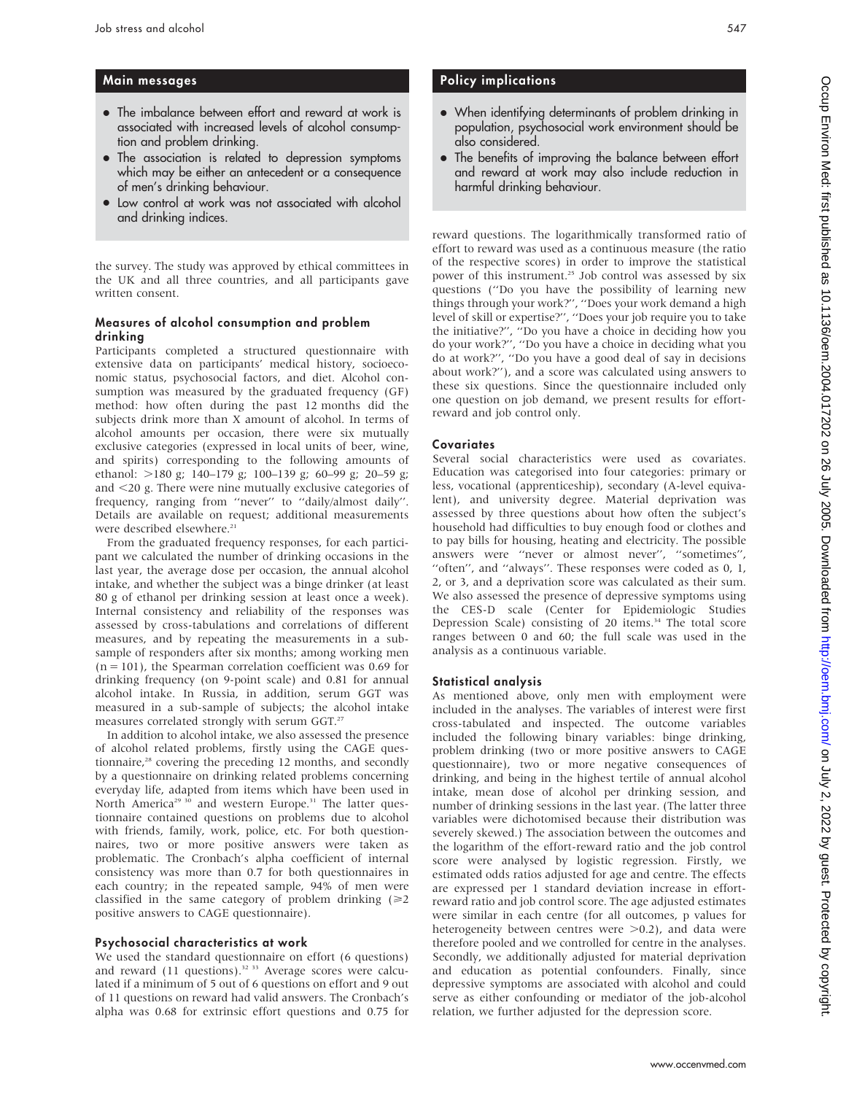## Main messages

- The imbalance between effort and reward at work is associated with increased levels of alcohol consumption and problem drinking.
- The association is related to depression symptoms which may be either an antecedent or a consequence of men's drinking behaviour.
- Low control at work was not associated with alcohol and drinking indices.

the survey. The study was approved by ethical committees in the UK and all three countries, and all participants gave written consent.

#### Measures of alcohol consumption and problem drinking

Participants completed a structured questionnaire with extensive data on participants' medical history, socioeconomic status, psychosocial factors, and diet. Alcohol consumption was measured by the graduated frequency (GF) method: how often during the past 12 months did the subjects drink more than X amount of alcohol. In terms of alcohol amounts per occasion, there were six mutually exclusive categories (expressed in local units of beer, wine, and spirits) corresponding to the following amounts of ethanol:  $>180$  g; 140–179 g; 100–139 g; 60–99 g; 20–59 g; and  $\leq$ 20 g. There were nine mutually exclusive categories of frequency, ranging from ''never'' to ''daily/almost daily''. Details are available on request; additional measurements were described elsewhere.<sup>21</sup>

From the graduated frequency responses, for each participant we calculated the number of drinking occasions in the last year, the average dose per occasion, the annual alcohol intake, and whether the subject was a binge drinker (at least 80 g of ethanol per drinking session at least once a week). Internal consistency and reliability of the responses was assessed by cross-tabulations and correlations of different measures, and by repeating the measurements in a subsample of responders after six months; among working men  $(n = 101)$ , the Spearman correlation coefficient was 0.69 for drinking frequency (on 9-point scale) and 0.81 for annual alcohol intake. In Russia, in addition, serum GGT was measured in a sub-sample of subjects; the alcohol intake measures correlated strongly with serum GGT.<sup>27</sup>

In addition to alcohol intake, we also assessed the presence of alcohol related problems, firstly using the CAGE questionnaire,<sup>28</sup> covering the preceding 12 months, and secondly by a questionnaire on drinking related problems concerning everyday life, adapted from items which have been used in North America<sup>29 30</sup> and western Europe.<sup>31</sup> The latter questionnaire contained questions on problems due to alcohol with friends, family, work, police, etc. For both questionnaires, two or more positive answers were taken as problematic. The Cronbach's alpha coefficient of internal consistency was more than 0.7 for both questionnaires in each country; in the repeated sample, 94% of men were classified in the same category of problem drinking  $\approx 2$ positive answers to CAGE questionnaire).

#### Psychosocial characteristics at work

We used the standard questionnaire on effort (6 questions) and reward (11 questions). $32\frac{33}{12}$  Average scores were calculated if a minimum of 5 out of 6 questions on effort and 9 out of 11 questions on reward had valid answers. The Cronbach's alpha was 0.68 for extrinsic effort questions and 0.75 for

# Policy implications

- When identifying determinants of problem drinking in population, psychosocial work environment should be also considered.
- The benefits of improving the balance between effort and reward at work may also include reduction in harmful drinking behaviour.

reward questions. The logarithmically transformed ratio of effort to reward was used as a continuous measure (the ratio of the respective scores) in order to improve the statistical power of this instrument.<sup>25</sup> Job control was assessed by six questions (''Do you have the possibility of learning new things through your work?'', ''Does your work demand a high level of skill or expertise?'', ''Does your job require you to take the initiative?'', ''Do you have a choice in deciding how you do your work?'', ''Do you have a choice in deciding what you do at work?'', ''Do you have a good deal of say in decisions about work?''), and a score was calculated using answers to these six questions. Since the questionnaire included only one question on job demand, we present results for effortreward and job control only.

#### **Covariates**

Several social characteristics were used as covariates. Education was categorised into four categories: primary or less, vocational (apprenticeship), secondary (A-level equivalent), and university degree. Material deprivation was assessed by three questions about how often the subject's household had difficulties to buy enough food or clothes and to pay bills for housing, heating and electricity. The possible answers were ''never or almost never'', ''sometimes'', "often", and "always". These responses were coded as 0, 1, 2, or 3, and a deprivation score was calculated as their sum. We also assessed the presence of depressive symptoms using the CES-D scale (Center for Epidemiologic Studies Depression Scale) consisting of 20 items.<sup>34</sup> The total score ranges between 0 and 60; the full scale was used in the analysis as a continuous variable.

#### Statistical analysis

As mentioned above, only men with employment were included in the analyses. The variables of interest were first cross-tabulated and inspected. The outcome variables included the following binary variables: binge drinking, problem drinking (two or more positive answers to CAGE questionnaire), two or more negative consequences of drinking, and being in the highest tertile of annual alcohol intake, mean dose of alcohol per drinking session, and number of drinking sessions in the last year. (The latter three variables were dichotomised because their distribution was severely skewed.) The association between the outcomes and the logarithm of the effort-reward ratio and the job control score were analysed by logistic regression. Firstly, we estimated odds ratios adjusted for age and centre. The effects are expressed per 1 standard deviation increase in effortreward ratio and job control score. The age adjusted estimates were similar in each centre (for all outcomes, p values for heterogeneity between centres were  $>0.2$ ), and data were therefore pooled and we controlled for centre in the analyses. Secondly, we additionally adjusted for material deprivation and education as potential confounders. Finally, since depressive symptoms are associated with alcohol and could serve as either confounding or mediator of the job-alcohol relation, we further adjusted for the depression score.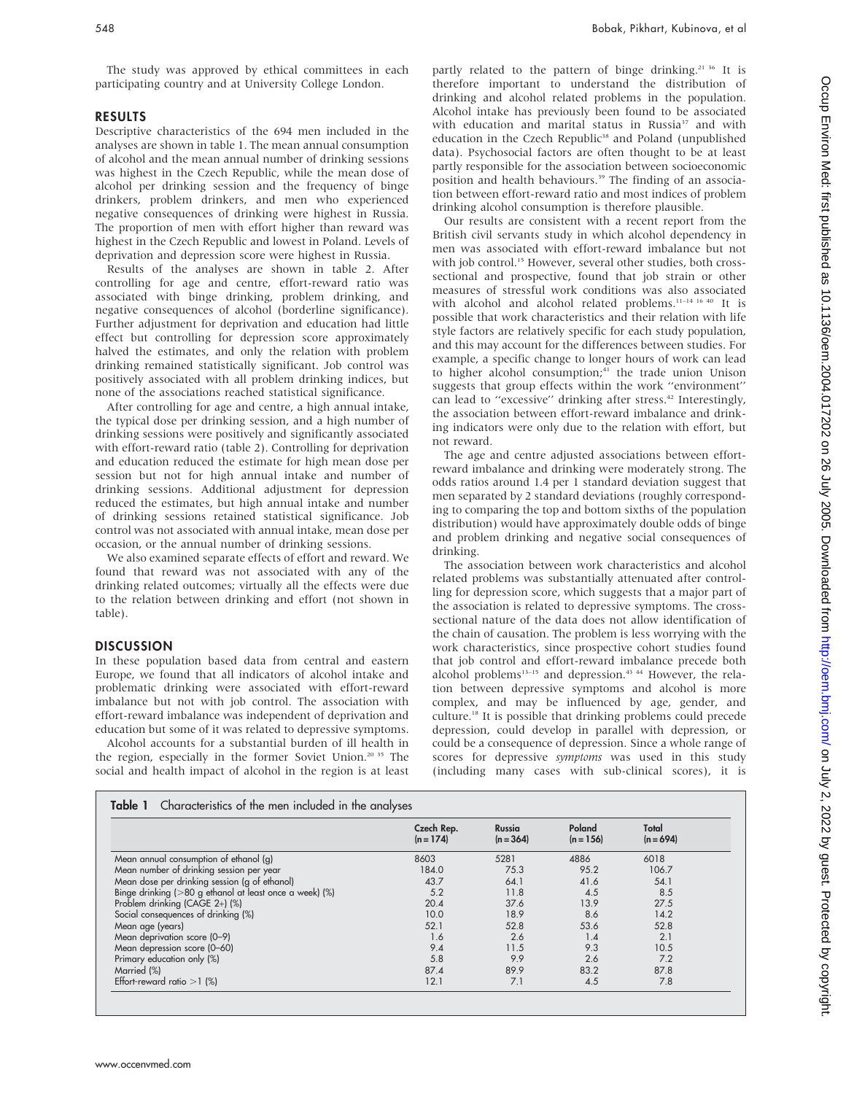The study was approved by ethical committees in each participating country and at University College London.

#### RESULTS

Descriptive characteristics of the 694 men included in the analyses are shown in table 1. The mean annual consumption of alcohol and the mean annual number of drinking sessions was highest in the Czech Republic, while the mean dose of alcohol per drinking session and the frequency of binge drinkers, problem drinkers, and men who experienced negative consequences of drinking were highest in Russia. The proportion of men with effort higher than reward was highest in the Czech Republic and lowest in Poland. Levels of deprivation and depression score were highest in Russia.

Results of the analyses are shown in table 2. After controlling for age and centre, effort-reward ratio was associated with binge drinking, problem drinking, and negative consequences of alcohol (borderline significance). Further adjustment for deprivation and education had little effect but controlling for depression score approximately halved the estimates, and only the relation with problem drinking remained statistically significant. Job control was positively associated with all problem drinking indices, but none of the associations reached statistical significance.

After controlling for age and centre, a high annual intake, the typical dose per drinking session, and a high number of drinking sessions were positively and significantly associated with effort-reward ratio (table 2). Controlling for deprivation and education reduced the estimate for high mean dose per session but not for high annual intake and number of drinking sessions. Additional adjustment for depression reduced the estimates, but high annual intake and number of drinking sessions retained statistical significance. Job control was not associated with annual intake, mean dose per occasion, or the annual number of drinking sessions.

We also examined separate effects of effort and reward. We found that reward was not associated with any of the drinking related outcomes; virtually all the effects were due to the relation between drinking and effort (not shown in table).

#### **DISCUSSION**

In these population based data from central and eastern Europe, we found that all indicators of alcohol intake and problematic drinking were associated with effort-reward imbalance but not with job control. The association with effort-reward imbalance was independent of deprivation and education but some of it was related to depressive symptoms.

Alcohol accounts for a substantial burden of ill health in the region, especially in the former Soviet Union.<sup>20 35</sup> The social and health impact of alcohol in the region is at least

partly related to the pattern of binge drinking.<sup>21 36</sup> It is therefore important to understand the distribution of drinking and alcohol related problems in the population. Alcohol intake has previously been found to be associated with education and marital status in Russia<sup>37</sup> and with education in the Czech Republic<sup>38</sup> and Poland (unpublished data). Psychosocial factors are often thought to be at least partly responsible for the association between socioeconomic position and health behaviours.<sup>39</sup> The finding of an association between effort-reward ratio and most indices of problem drinking alcohol consumption is therefore plausible.

Our results are consistent with a recent report from the British civil servants study in which alcohol dependency in men was associated with effort-reward imbalance but not with job control.<sup>15</sup> However, several other studies, both crosssectional and prospective, found that job strain or other measures of stressful work conditions was also associated with alcohol and alcohol related problems.<sup>11-14 16 40</sup> It is possible that work characteristics and their relation with life style factors are relatively specific for each study population, and this may account for the differences between studies. For example, a specific change to longer hours of work can lead to higher alcohol consumption;<sup>41</sup> the trade union Unison suggests that group effects within the work ''environment'' can lead to "excessive" drinking after stress.<sup>42</sup> Interestingly, the association between effort-reward imbalance and drinking indicators were only due to the relation with effort, but not reward.

The age and centre adjusted associations between effortreward imbalance and drinking were moderately strong. The odds ratios around 1.4 per 1 standard deviation suggest that men separated by 2 standard deviations (roughly corresponding to comparing the top and bottom sixths of the population distribution) would have approximately double odds of binge and problem drinking and negative social consequences of drinking.

The association between work characteristics and alcohol related problems was substantially attenuated after controlling for depression score, which suggests that a major part of the association is related to depressive symptoms. The crosssectional nature of the data does not allow identification of the chain of causation. The problem is less worrying with the work characteristics, since prospective cohort studies found that job control and effort-reward imbalance precede both alcohol problems<sup>13–15</sup> and depression.<sup>43–44</sup> However, the relation between depressive symptoms and alcohol is more complex, and may be influenced by age, gender, and culture.18 It is possible that drinking problems could precede depression, could develop in parallel with depression, or could be a consequence of depression. Since a whole range of scores for depressive symptoms was used in this study (including many cases with sub-clinical scores), it is

|                                                         | Czech Rep.<br>$(n = 174)$ | <b>Russia</b><br>$(n = 364)$ | Poland<br>$(n = 156)$ | Total<br>$(n = 694)$ |
|---------------------------------------------------------|---------------------------|------------------------------|-----------------------|----------------------|
| Mean annual consumption of ethanol (g)                  | 8603                      | 5281                         | 4886                  | 6018                 |
| Mean number of drinking session per year                | 184.0                     | 75.3                         | 95.2                  | 106.7                |
| Mean dose per drinking session (g of ethanol)           | 43.7                      | 64.1                         | 41.6                  | 54.1                 |
| Binge drinking (>80 g ethanol at least once a week) (%) | 5.2                       | 11.8                         | 4.5                   | 8.5                  |
| Problem drinking (CAGE 2+) (%)                          | 20.4                      | 37.6                         | 13.9                  | 27.5                 |
| Social consequences of drinking (%)                     | 10.0                      | 18.9                         | 8.6                   | 14.2                 |
| Mean age (years)                                        | 52.1                      | 52.8                         | 53.6                  | 52.8                 |
| Mean deprivation score (0-9)                            | 1.6                       | 2.6                          | 1.4                   | 2.1                  |
| Mean depression score (0-60)                            | 9.4                       | 11.5                         | 9.3                   | 10.5                 |
| Primary education only (%)                              | 5.8                       | 9.9                          | 2.6                   | 7.2                  |
| Married (%)                                             | 87.4                      | 89.9                         | 83.2                  | 87.8                 |
| Effort-reward ratio $>1$ (%)                            | 12.1                      | 7.1                          | 4.5                   | 7.8                  |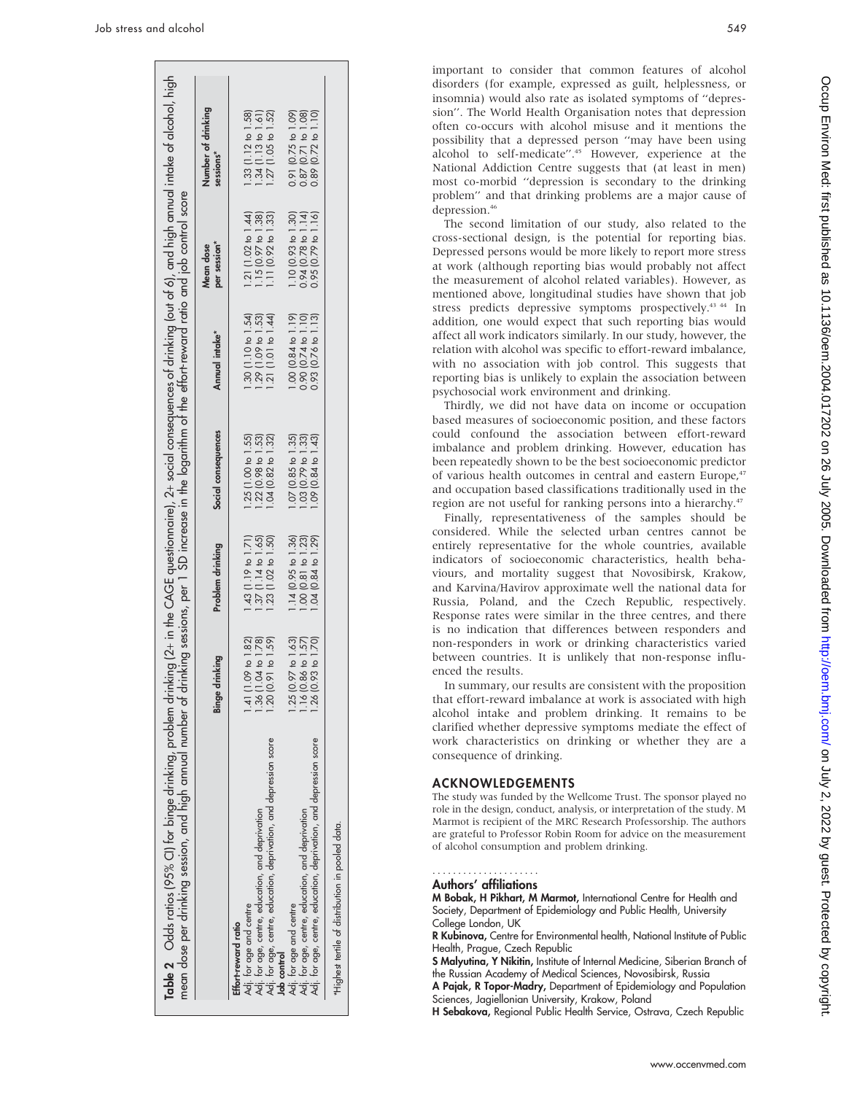|                                                                                                                                                   |                          |                       |                                            |                               | Mean dose                                  | Number of drinking                                                                   |
|---------------------------------------------------------------------------------------------------------------------------------------------------|--------------------------|-----------------------|--------------------------------------------|-------------------------------|--------------------------------------------|--------------------------------------------------------------------------------------|
|                                                                                                                                                   | <b>Binge drinking</b>    | Problem drinking      | Social consequences                        | Annual intake*                | per session*                               | sessions*                                                                            |
| Effort-reward ratio                                                                                                                               |                          |                       |                                            |                               |                                            |                                                                                      |
| Adj. for age and centre                                                                                                                           | .41(1.09 to 1.82)        | 1.43 (1.19 to 1.71)   | 1.25(1.00 to 1.55)                         | 1.30 (1.10 to 1.54)           | 1.21 $(1.02 \text{ to } 1.44)$             |                                                                                      |
|                                                                                                                                                   | $.36$ (1.04 to 1.78)     | $1.37$ (1.14 to 1.65) | 1.22 (0.98 to 1.53)<br>1.04 (0.82 to 1.32) | $1.29$ (1.09 to 1.53)         | $1.15(0.97)$ to $1.38$                     | $1.33$ $(1.12$ to $1.58$ )<br>$1.34$ $(1.13$ to $1.61)$<br>$1.27$ $(1.05$ to $1.52)$ |
| Adj. for age, centre, education, and deprivation<br>Adj. for age, centre, education, deprivation, and depression score                            | .20(0.91 to 1.59)        | 1.23 (1.02 to 1.50)   |                                            | $1.21$ (1.01 to 1.44)         | $1.11$ (0.92 to 1.33)                      |                                                                                      |
| Job control                                                                                                                                       |                          |                       |                                            |                               |                                            |                                                                                      |
|                                                                                                                                                   | $1.25(0.97)$ to $1.63$   | $1.14$ (0.95 to 1.36) | $1.07$ (0.85 to 1.35)                      | $1.00$ $(0.84$ to $1.19)$     | 1.10(0.93 <sub>b</sub> 1.30)               | 0.91(0.75 to 1.09)                                                                   |
|                                                                                                                                                   | $1.16$ (0.86 to $1.57$ ) | 1.00 (0.81 to 1.23)   | 1.03 (0.79 to 1.33)<br>1.09 (0.84 to 1.43) | $0.90$ $(0.74$ to $1.10)$     | 0.94 (0.78 to 1.14)<br>0.95 (0.79 to 1.16) | $0.87$ $(0.71$ to $1.08)$                                                            |
| Adj. for age and centre<br>Adj. for age, centre, education, and deprivation<br>Adj. for age, centre, education, deprivation, and depression score | $1.26$ (0.93 to 1.70)    | 1.04 (0.84 to 1.29)   |                                            | $0.93(0.76 \text{ to } 1.13)$ |                                            | 0.89 (0.72 to 1.10)                                                                  |
| *Highest tertile of distribution in pooled data.                                                                                                  |                          |                       |                                            |                               |                                            |                                                                                      |

important to consider that common features of alcohol disorders (for example, expressed as guilt, helplessness, or insomnia) would also rate as isolated symptoms of ''depression''. The World Health Organisation notes that depression often co-occurs with alcohol misuse and it mentions the possibility that a depressed person ''may have been using alcohol to self-medicate''.45 However, experience at the National Addiction Centre suggests that (at least in men) most co-morbid ''depression is secondary to the drinking problem'' and that drinking problems are a major cause of depression.<sup>46</sup>

The second limitation of our study, also related to the cross-sectional design, is the potential for reporting bias. Depressed persons would be more likely to report more stress at work (although reporting bias would probably not affect the measurement of alcohol related variables). However, as mentioned above, longitudinal studies have shown that job stress predicts depressive symptoms prospectively.<sup>43 44</sup> In addition, one would expect that such reporting bias would affect all work indicators similarly. In our study, however, the relation with alcohol was specific to effort-reward imbalance, with no association with job control. This suggests that reporting bias is unlikely to explain the association between psychosocial work environment and drinking.

Thirdly, we did not have data on income or occupation based measures of socioeconomic position, and these factors could confound the association between effort-reward imbalance and problem drinking. However, education has been repeatedly shown to be the best socioeconomic predictor of various health outcomes in central and eastern Europe,<sup>47</sup> and occupation based classifications traditionally used in the region are not useful for ranking persons into a hierarchy.<sup>47</sup>

Finally, representativeness of the samples should be considered. While the selected urban centres cannot be entirely representative for the whole countries, available indicators of socioeconomic characteristics, health behaviours, and mortality suggest that Novosibirsk, Krakow, and Karvina/Havirov approximate well the national data for Russia, Poland, and the Czech Republic, respectively. Response rates were similar in the three centres, and there is no indication that differences between responders and non-responders in work or drinking characteristics varied between countries. It is unlikely that non-response influenced the results.

In summary, our results are consistent with the proposition that effort-reward imbalance at work is associated with high alcohol intake and problem drinking. It remains to be clarified whether depressive symptoms mediate the effect of work characteristics on drinking or whether they are a consequence of drinking.

#### ACKNOWLEDGEMENTS

The study was funded by the Wellcome Trust. The sponsor played no role in the design, conduct, analysis, or interpretation of the study. M Marmot is recipient of the MRC Research Professorship. The authors are grateful to Professor Robin Room for advice on the measurement of alcohol consumption and problem drinking.

Authors' affiliations .....................

M Bobak, H Pikhart, M Marmot, International Centre for Health and Society, Department of Epidemiology and Public Health, University College London, UK

A Pajak, R Topor-Madry, Department of Epidemiology and Population Sciences, Jagiellonian University, Krakow, Poland

H Sebakova, Regional Public Health Service, Ostrava, Czech Republic

R Kubinova, Centre for Environmental health, National Institute of Public Health, Prague, Czech Republic

S Malyutina, Y Nikitin, Institute of Internal Medicine, Siberian Branch of the Russian Academy of Medical Sciences, Novosibirsk, Russia